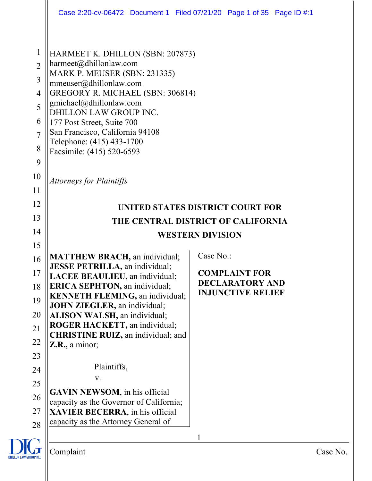|                                                                                | Case 2:20-cv-06472 Document 1 Filed 07/21/20 Page 1 of 35 Page ID #:1                                                                                                                                                                                                                                                                    |                                                    |  |
|--------------------------------------------------------------------------------|------------------------------------------------------------------------------------------------------------------------------------------------------------------------------------------------------------------------------------------------------------------------------------------------------------------------------------------|----------------------------------------------------|--|
| $\mathbf{1}$<br>$\overline{2}$<br>3<br>4<br>5<br>6<br>$\overline{7}$<br>8<br>9 | HARMEET K. DHILLON (SBN: 207873)<br>harmeet@dhillonlaw.com<br>MARK P. MEUSER (SBN: 231335)<br>mmeuser@dhillonlaw.com<br>GREGORY R. MICHAEL (SBN: 306814)<br>gmichael@dhillonlaw.com<br>DHILLON LAW GROUP INC.<br>177 Post Street, Suite 700<br>San Francisco, California 94108<br>Telephone: (415) 433-1700<br>Facsimile: (415) 520-6593 |                                                    |  |
| 10                                                                             | <b>Attorneys for Plaintiffs</b>                                                                                                                                                                                                                                                                                                          |                                                    |  |
| 11                                                                             |                                                                                                                                                                                                                                                                                                                                          |                                                    |  |
| 12<br>13                                                                       |                                                                                                                                                                                                                                                                                                                                          | UNITED STATES DISTRICT COURT FOR                   |  |
| 14                                                                             | THE CENTRAL DISTRICT OF CALIFORNIA                                                                                                                                                                                                                                                                                                       |                                                    |  |
| 15                                                                             |                                                                                                                                                                                                                                                                                                                                          | <b>WESTERN DIVISION</b>                            |  |
| 16<br>17                                                                       | <b>MATTHEW BRACH</b> , an individual;<br><b>JESSE PETRILLA</b> , an individual;<br><b>LACEE BEAULIEU</b> , an individual;                                                                                                                                                                                                                | Case No.:<br><b>COMPLAINT FOR</b>                  |  |
| 18<br>19<br>20<br>21<br>22<br>23<br>24<br>25                                   | <b>ERICA SEPHTON, an individual;</b><br><b>KENNETH FLEMING</b> , an individual;<br><b>JOHN ZIEGLER</b> , an individual;<br>ALISON WALSH, an individual;<br><b>ROGER HACKETT, an individual;</b><br><b>CHRISTINE RUIZ, an individual; and</b><br>$Z.R.,$ a minor;<br>Plaintiffs,<br>V.                                                    | <b>DECLARATORY AND</b><br><b>INJUNCTIVE RELIEF</b> |  |
| 26                                                                             | <b>GAVIN NEWSOM</b> , in his official<br>capacity as the Governor of California;                                                                                                                                                                                                                                                         |                                                    |  |
| 27<br>28                                                                       | XAVIER BECERRA, in his official<br>capacity as the Attorney General of                                                                                                                                                                                                                                                                   |                                                    |  |
|                                                                                |                                                                                                                                                                                                                                                                                                                                          | 1                                                  |  |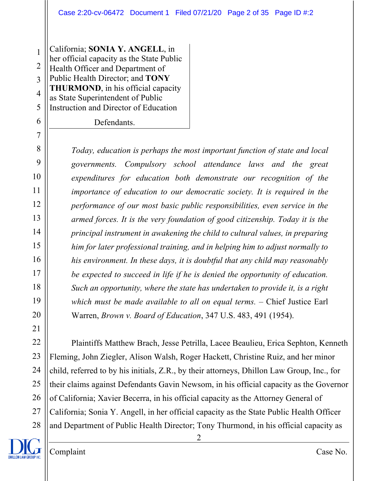1 2 3 4 5 California; **SONIA Y. ANGELL**, in her official capacity as the State Public Health Officer and Department of Public Health Director; and **TONY THURMOND**, in his official capacity as State Superintendent of Public Instruction and Director of Education

Defendants.

6

7

8

9

10

11

12

13

14

15

16

17

18

19

20

21

*Today, education is perhaps the most important function of state and local governments. Compulsory school attendance laws and the great expenditures for education both demonstrate our recognition of the importance of education to our democratic society. It is required in the performance of our most basic public responsibilities, even service in the armed forces. It is the very foundation of good citizenship. Today it is the principal instrument in awakening the child to cultural values, in preparing him for later professional training, and in helping him to adjust normally to his environment. In these days, it is doubtful that any child may reasonably be expected to succeed in life if he is denied the opportunity of education. Such an opportunity, where the state has undertaken to provide it, is a right which must be made available to all on equal terms. –* Chief Justice Earl Warren, *Brown v. Board of Education*, 347 U.S. 483, 491 (1954).

22 23 24 25 26 27 28 Plaintiffs Matthew Brach, Jesse Petrilla, Lacee Beaulieu, Erica Sephton, Kenneth Fleming, John Ziegler, Alison Walsh, Roger Hackett, Christine Ruiz, and her minor child, referred to by his initials, Z.R., by their attorneys, Dhillon Law Group, Inc., for their claims against Defendants Gavin Newsom, in his official capacity as the Governor of California; Xavier Becerra, in his official capacity as the Attorney General of California; Sonia Y. Angell, in her official capacity as the State Public Health Officer and Department of Public Health Director; Tony Thurmond, in his official capacity as

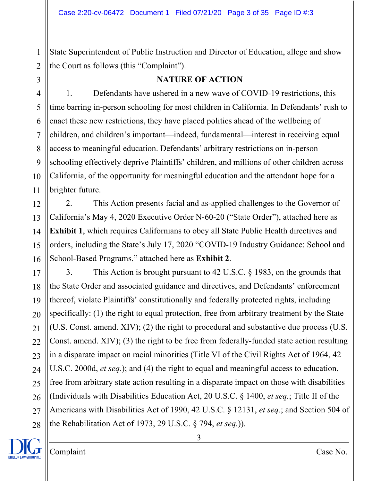2 State Superintendent of Public Instruction and Director of Education, allege and show the Court as follows (this "Complaint").

3

15

1

#### **NATURE OF ACTION**

4 5 6 7 8 9 10 11 1. Defendants have ushered in a new wave of COVID-19 restrictions, this time barring in-person schooling for most children in California. In Defendants' rush to enact these new restrictions, they have placed politics ahead of the wellbeing of children, and children's important—indeed, fundamental—interest in receiving equal access to meaningful education. Defendants' arbitrary restrictions on in-person schooling effectively deprive Plaintiffs' children, and millions of other children across California, of the opportunity for meaningful education and the attendant hope for a brighter future.

12 13 14 16 2. This Action presents facial and as-applied challenges to the Governor of California's May 4, 2020 Executive Order N-60-20 ("State Order"), attached here as **Exhibit 1**, which requires Californians to obey all State Public Health directives and orders, including the State's July 17, 2020 "COVID-19 Industry Guidance: School and School-Based Programs," attached here as **Exhibit 2**.

17 18 19 20 21 22 23 24 25 26 27 28 3. This Action is brought pursuant to 42 U.S.C. § 1983, on the grounds that the State Order and associated guidance and directives, and Defendants' enforcement thereof, violate Plaintiffs' constitutionally and federally protected rights, including specifically: (1) the right to equal protection, free from arbitrary treatment by the State (U.S. Const. amend. XIV); (2) the right to procedural and substantive due process (U.S. Const. amend. XIV); (3) the right to be free from federally-funded state action resulting in a disparate impact on racial minorities (Title VI of the Civil Rights Act of 1964, 42 U.S.C. 2000d, *et seq.*); and (4) the right to equal and meaningful access to education, free from arbitrary state action resulting in a disparate impact on those with disabilities (Individuals with Disabilities Education Act, 20 U.S.C. § 1400, *et seq.*; Title II of the Americans with Disabilities Act of 1990, 42 U.S.C. § 12131, *et seq.*; and Section 504 of the Rehabilitation Act of 1973, 29 U.S.C. § 794, *et seq.*)).

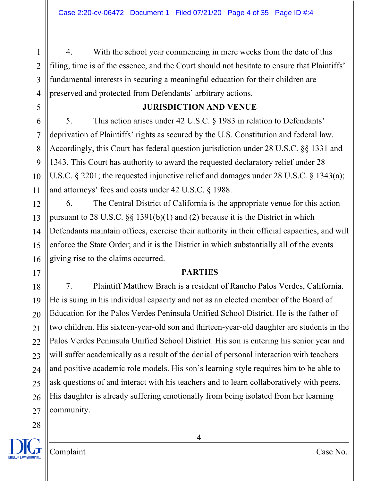4. With the school year commencing in mere weeks from the date of this filing, time is of the essence, and the Court should not hesitate to ensure that Plaintiffs' fundamental interests in securing a meaningful education for their children are preserved and protected from Defendants' arbitrary actions.

### **JURISDICTION AND VENUE**

5. This action arises under 42 U.S.C. § 1983 in relation to Defendants' deprivation of Plaintiffs' rights as secured by the U.S. Constitution and federal law. Accordingly, this Court has federal question jurisdiction under 28 U.S.C. §§ 1331 and 1343. This Court has authority to award the requested declaratory relief under 28 U.S.C. § 2201; the requested injunctive relief and damages under 28 U.S.C. § 1343(a); and attorneys' fees and costs under 42 U.S.C. § 1988.

6. The Central District of California is the appropriate venue for this action pursuant to 28 U.S.C. §§ 1391(b)(1) and (2) because it is the District in which Defendants maintain offices, exercise their authority in their official capacities, and will enforce the State Order; and it is the District in which substantially all of the events giving rise to the claims occurred.

#### **PARTIES**

7. Plaintiff Matthew Brach is a resident of Rancho Palos Verdes, California. He is suing in his individual capacity and not as an elected member of the Board of Education for the Palos Verdes Peninsula Unified School District. He is the father of two children. His sixteen-year-old son and thirteen-year-old daughter are students in the Palos Verdes Peninsula Unified School District. His son is entering his senior year and will suffer academically as a result of the denial of personal interaction with teachers and positive academic role models. His son's learning style requires him to be able to ask questions of and interact with his teachers and to learn collaboratively with peers. His daughter is already suffering emotionally from being isolated from her learning community.

1

2

3

4

5

6

7

8

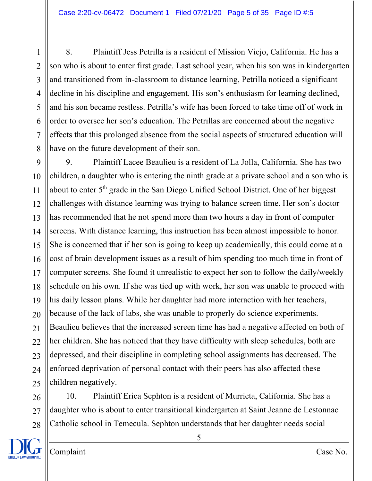8. Plaintiff Jess Petrilla is a resident of Mission Viejo, California. He has a son who is about to enter first grade. Last school year, when his son was in kindergarten and transitioned from in-classroom to distance learning, Petrilla noticed a significant decline in his discipline and engagement. His son's enthusiasm for learning declined, and his son became restless. Petrilla's wife has been forced to take time off of work in order to oversee her son's education. The Petrillas are concerned about the negative effects that this prolonged absence from the social aspects of structured education will have on the future development of their son.

9 10 11 12 13 14 15 16 17 18 19 20 21  $22$ 23 24 25 9. Plaintiff Lacee Beaulieu is a resident of La Jolla, California. She has two children, a daughter who is entering the ninth grade at a private school and a son who is about to enter 5<sup>th</sup> grade in the San Diego Unified School District. One of her biggest challenges with distance learning was trying to balance screen time. Her son's doctor has recommended that he not spend more than two hours a day in front of computer screens. With distance learning, this instruction has been almost impossible to honor. She is concerned that if her son is going to keep up academically, this could come at a cost of brain development issues as a result of him spending too much time in front of computer screens. She found it unrealistic to expect her son to follow the daily/weekly schedule on his own. If she was tied up with work, her son was unable to proceed with his daily lesson plans. While her daughter had more interaction with her teachers, because of the lack of labs, she was unable to properly do science experiments. Beaulieu believes that the increased screen time has had a negative affected on both of her children. She has noticed that they have difficulty with sleep schedules, both are depressed, and their discipline in completing school assignments has decreased. The enforced deprivation of personal contact with their peers has also affected these children negatively.

26 27 28 10. Plaintiff Erica Sephton is a resident of Murrieta, California. She has a daughter who is about to enter transitional kindergarten at Saint Jeanne de Lestonnac Catholic school in Temecula. Sephton understands that her daughter needs social



1

2

3

4

5

6

7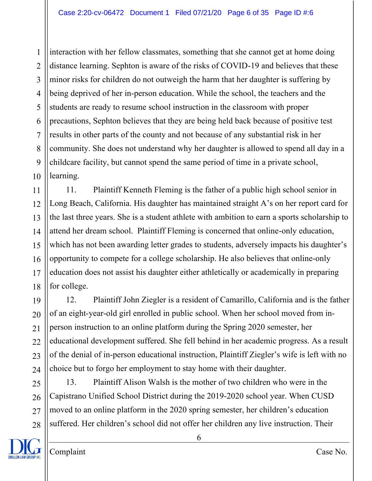1 2 3 4 5 6 7 8 9 10 interaction with her fellow classmates, something that she cannot get at home doing distance learning. Sephton is aware of the risks of COVID-19 and believes that these minor risks for children do not outweigh the harm that her daughter is suffering by being deprived of her in-person education. While the school, the teachers and the students are ready to resume school instruction in the classroom with proper precautions, Sephton believes that they are being held back because of positive test results in other parts of the county and not because of any substantial risk in her community. She does not understand why her daughter is allowed to spend all day in a childcare facility, but cannot spend the same period of time in a private school, learning.

11 12 13 14 15 16 17 18 11. Plaintiff Kenneth Fleming is the father of a public high school senior in Long Beach, California. His daughter has maintained straight A's on her report card for the last three years. She is a student athlete with ambition to earn a sports scholarship to attend her dream school. Plaintiff Fleming is concerned that online-only education, which has not been awarding letter grades to students, adversely impacts his daughter's opportunity to compete for a college scholarship. He also believes that online-only education does not assist his daughter either athletically or academically in preparing for college.

19 20 22 23 24 12. Plaintiff John Ziegler is a resident of Camarillo, California and is the father of an eight-year-old girl enrolled in public school. When her school moved from inperson instruction to an online platform during the Spring 2020 semester, her educational development suffered. She fell behind in her academic progress. As a result of the denial of in-person educational instruction, Plaintiff Ziegler's wife is left with no choice but to forgo her employment to stay home with their daughter.

25 26 27 28 13. Plaintiff Alison Walsh is the mother of two children who were in the Capistrano Unified School District during the 2019-2020 school year. When CUSD moved to an online platform in the 2020 spring semester, her children's education suffered. Her children's school did not offer her children any live instruction. Their



21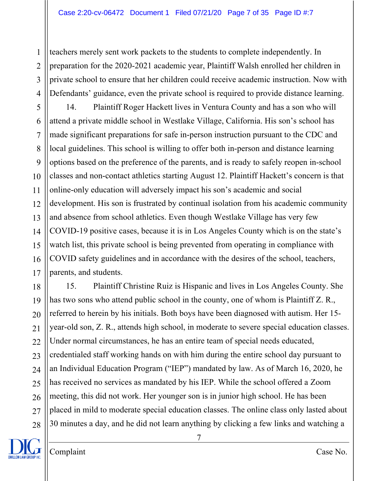1 2 3 4 teachers merely sent work packets to the students to complete independently. In preparation for the 2020-2021 academic year, Plaintiff Walsh enrolled her children in private school to ensure that her children could receive academic instruction. Now with Defendants' guidance, even the private school is required to provide distance learning.

5 6 7 8 9 10 11 12 13 14 15 16 17 14. Plaintiff Roger Hackett lives in Ventura County and has a son who will attend a private middle school in Westlake Village, California. His son's school has made significant preparations for safe in-person instruction pursuant to the CDC and local guidelines. This school is willing to offer both in-person and distance learning options based on the preference of the parents, and is ready to safely reopen in-school classes and non-contact athletics starting August 12. Plaintiff Hackett's concern is that online-only education will adversely impact his son's academic and social development. His son is frustrated by continual isolation from his academic community and absence from school athletics. Even though Westlake Village has very few COVID-19 positive cases, because it is in Los Angeles County which is on the state's watch list, this private school is being prevented from operating in compliance with COVID safety guidelines and in accordance with the desires of the school, teachers, parents, and students.

18 19 20 21 22 23 24 25 26 27 28 15. Plaintiff Christine Ruiz is Hispanic and lives in Los Angeles County. She has two sons who attend public school in the county, one of whom is Plaintiff Z. R., referred to herein by his initials. Both boys have been diagnosed with autism. Her 15 year-old son, Z. R., attends high school, in moderate to severe special education classes. Under normal circumstances, he has an entire team of special needs educated, credentialed staff working hands on with him during the entire school day pursuant to an Individual Education Program ("IEP") mandated by law. As of March 16, 2020, he has received no services as mandated by his IEP. While the school offered a Zoom meeting, this did not work. Her younger son is in junior high school. He has been placed in mild to moderate special education classes. The online class only lasted about 30 minutes a day, and he did not learn anything by clicking a few links and watching a



Complaint Case No.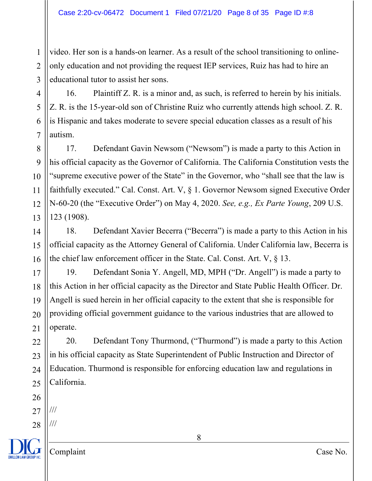1 2 3 video. Her son is a hands-on learner. As a result of the school transitioning to onlineonly education and not providing the request IEP services, Ruiz has had to hire an educational tutor to assist her sons.

4 5 6 7 16. Plaintiff Z. R. is a minor and, as such, is referred to herein by his initials. Z. R. is the 15-year-old son of Christine Ruiz who currently attends high school. Z. R. is Hispanic and takes moderate to severe special education classes as a result of his autism.

8 9 10 11 12 13 17. Defendant Gavin Newsom ("Newsom") is made a party to this Action in his official capacity as the Governor of California. The California Constitution vests the "supreme executive power of the State" in the Governor, who "shall see that the law is faithfully executed." Cal. Const. Art. V, § 1. Governor Newsom signed Executive Order N-60-20 (the "Executive Order") on May 4, 2020. *See, e.g., Ex Parte Young*, 209 U.S. 123 (1908).

14 15 16 18. Defendant Xavier Becerra ("Becerra") is made a party to this Action in his official capacity as the Attorney General of California. Under California law, Becerra is the chief law enforcement officer in the State. Cal. Const. Art. V, § 13.

17 18 19 20 21 19. Defendant Sonia Y. Angell, MD, MPH ("Dr. Angell") is made a party to this Action in her official capacity as the Director and State Public Health Officer. Dr. Angell is sued herein in her official capacity to the extent that she is responsible for providing official government guidance to the various industries that are allowed to operate.

20. Defendant Tony Thurmond, ("Thurmond") is made a party to this Action in his official capacity as State Superintendent of Public Instruction and Director of Education. Thurmond is responsible for enforcing education law and regulations in California.

26 27 ///

22

23

24

25

28 ///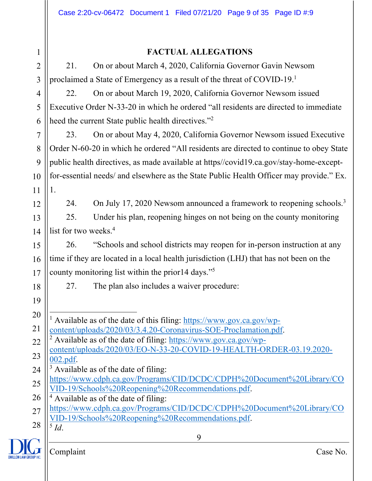#### 9 1 2 3 4 5 6 7 8 9 10 11 12 13 14 15 16 17 18 19 20 21 22 23 24 25 26 27 28 **FACTUAL ALLEGATIONS** 21. On or about March 4, 2020, California Governor Gavin Newsom proclaimed a State of Emergency as a result of the threat of COVID-19.1 22. On or about March 19, 2020, California Governor Newsom issued Executive Order N-33-20 in which he ordered "all residents are directed to immediate heed the current State public health directives."<sup>2</sup> 23. On or about May 4, 2020, California Governor Newsom issued Executive Order N-60-20 in which he ordered "All residents are directed to continue to obey State public health directives, as made available at https//covid19.ca.gov/stay-home-exceptfor-essential needs/ and elsewhere as the State Public Health Officer may provide." Ex. 1. 24. On July 17, 2020 Newsom announced a framework to reopening schools.<sup>3</sup> 25. Under his plan, reopening hinges on not being on the county monitoring list for two weeks.<sup>4</sup> 26. "Schools and school districts may reopen for in-person instruction at any time if they are located in a local health jurisdiction (LHJ) that has not been on the county monitoring list within the prior14 days."5 27. The plan also includes a waiver procedure: <sup>1</sup> Available as of the date of this filing: https://www.gov.ca.gov/wpcontent/uploads/2020/03/3.4.20-Coronavirus-SOE-Proclamation.pdf. <sup>2</sup> Available as of the date of filing: https://www.gov.ca.gov/wpcontent/uploads/2020/03/EO-N-33-20-COVID-19-HEALTH-ORDER-03.19.2020-  $\frac{002.pdf}{3}$  Available as of the date of filing: https://www.cdph.ca.gov/Programs/CID/DCDC/CDPH%20Document%20Library/CO VID-19/Schools%20Reopening%20Recommendations.pdf.  $4$  Available as of the date of filing: https://www.cdph.ca.gov/Programs/CID/DCDC/CDPH%20Document%20Library/CO VID-19/Schools%20Reopening%20Recommendations.pdf. 5 *Id*.

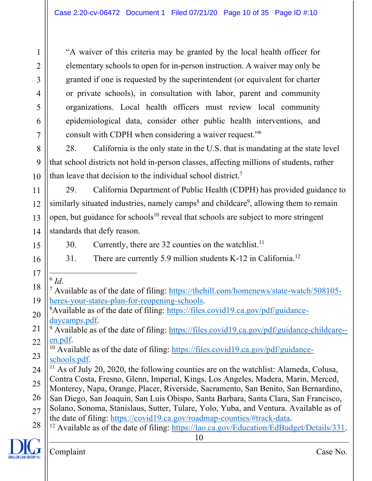"A waiver of this criteria may be granted by the local health officer for elementary schools to open for in-person instruction. A waiver may only be granted if one is requested by the superintendent (or equivalent for charter or private schools), in consultation with labor, parent and community organizations. Local health officers must review local community epidemiological data, consider other public health interventions, and consult with CDPH when considering a waiver request."6

8 9 10 28. California is the only state in the U.S. that is mandating at the state level that school districts not hold in-person classes, affecting millions of students, rather than leave that decision to the individual school district.<sup>7</sup>

12 13 14 29. California Department of Public Health (CDPH) has provided guidance to similarly situated industries, namely camps<sup>8</sup> and childcare<sup>9</sup>, allowing them to remain open, but guidance for schools<sup>10</sup> reveal that schools are subject to more stringent standards that defy reason.

15

1

2

3

4

5

6

7

11

16

<sup>6</sup> *Id*.

- 30. Currently, there are 32 counties on the watchlist.<sup>11</sup>
- 31. There are currently 5.9 million students K-12 in California.12
- 17

18

19

- <sup>7</sup> Available as of the date of filing: https://thehill.com/homenews/state-watch/508105 heres-your-states-plan-for-reopening-schools.
- 20 Available as of the date of filing: https://files.covid19.ca.gov/pdf/guidancedaycamps.pdf.
- 21 22  $9$  Available as of the date of filing: https://files.covid19.ca.gov/pdf/guidance-childcare-en.pdf.
- 23 <sup>10</sup> Available as of the date of filing: https://files.covid19.ca.gov/pdf/guidanceschools.pdf.
- 24 25 <sup>11</sup> As of July 20, 2020, the following counties are on the watchlist: Alameda, Colusa, Contra Costa, Fresno, Glenn, Imperial, Kings, Los Angeles, Madera, Marin, Merced,
- Monterey, Napa, Orange, Placer, Riverside, Sacramento, San Benito, San Bernardino,
- 26 San Diego, San Joaquin, San Luis Obispo, Santa Barbara, Santa Clara, San Francisco, Solano, Sonoma, Stanislaus, Sutter, Tulare, Yolo, Yuba, and Ventura. Available as of
- 27 the date of filing: https://covid19.ca.gov/roadmap-counties/#track-data.
- 28 <sup>12</sup> Available as of the date of filing: https://lao.ca.gov/Education/EdBudget/Details/331.

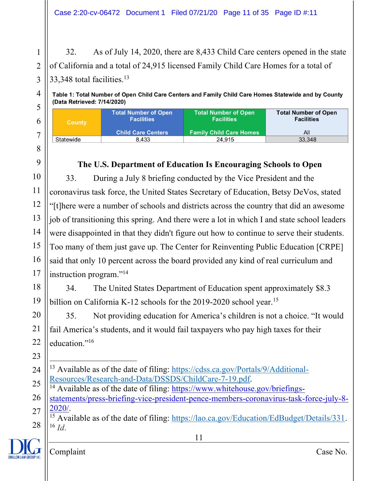32. As of July 14, 2020, there are 8,433 Child Care centers opened in the state of California and a total of 24,915 licensed Family Child Care Homes for a total of 33,348 total facilities.<sup>13</sup>

Table 1: Total Number of Open Child Care Centers and Family Child Care Homes Statewide and by County (Data Retrieved: 7/14/2020)

| <b>County</b> | <b>Total Number of Open</b><br><b>Facilities</b> | <b>Total Number of Open</b><br><b>Facilities</b> | <b>Total Number of Open</b><br><b>Facilities</b> |
|---------------|--------------------------------------------------|--------------------------------------------------|--------------------------------------------------|
|               | <b>Child Care Centers</b>                        | <b>Family Child Care Homes</b>                   | All                                              |
| Statewide     | 8.433                                            | 24.915                                           | 33,348                                           |

### **The U.S. Department of Education Is Encouraging Schools to Open**

10 11 12 13 14 15 16 17 33. During a July 8 briefing conducted by the Vice President and the coronavirus task force, the United States Secretary of Education, Betsy DeVos, stated "[t]here were a number of schools and districts across the country that did an awesome job of transitioning this spring. And there were a lot in which I and state school leaders were disappointed in that they didn't figure out how to continue to serve their students. Too many of them just gave up. The Center for Reinventing Public Education [CRPE] said that only 10 percent across the board provided any kind of real curriculum and instruction program."14

18 19 34. The United States Department of Education spent approximately \$8.3 billion on California K-12 schools for the 2019-2020 school year.<sup>15</sup>

35. Not providing education for America's children is not a choice. "It would fail America's students, and it would fail taxpayers who pay high taxes for their education."<sup>16</sup>

- 24 25 <sup>13</sup> Available as of the date of filing: https://cdss.ca.gov/Portals/9/Additional-
- 26 27 Resources/Research-and-Data/DSSDS/ChildCare-7-19.pdf.<br><sup>14</sup> Available as of the date of filing: https://www.whitehouse.gov/briefingsstatements/press-briefing-vice-president-pence-members-coronavirus-task-force-july-8- 2020/.
- 28 <sup>15</sup> Available as of the date of filing:  $\frac{https://lao.ca.gov/Education/EdBudget/Details/331.}{https://lao.ca.gov/Education/EdBudget/Details/331.}$  $^{16}$  *Id.*

11



1

2

3

4

5

6

7

8

9

20

21

22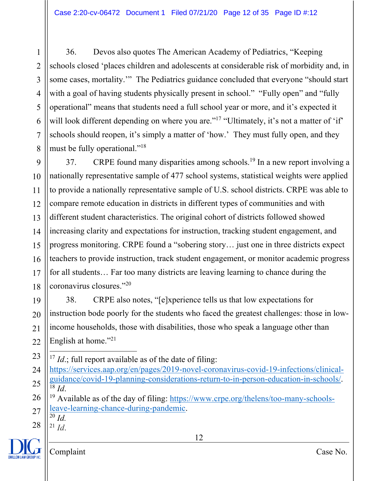1 2 3 4 5 6 7 8 36. Devos also quotes The American Academy of Pediatrics, "Keeping schools closed 'places children and adolescents at considerable risk of morbidity and, in some cases, mortality.'" The Pediatrics guidance concluded that everyone "should start with a goal of having students physically present in school." "Fully open" and "fully operational" means that students need a full school year or more, and it's expected it will look different depending on where you are."<sup>17</sup> "Ultimately, it's not a matter of 'if' schools should reopen, it's simply a matter of 'how.' They must fully open, and they must be fully operational."<sup>18</sup>

9 10 11 12 13 14 15 16 17 18 37. CRPE found many disparities among schools.<sup>19</sup> In a new report involving a nationally representative sample of 477 school systems, statistical weights were applied to provide a nationally representative sample of U.S. school districts. CRPE was able to compare remote education in districts in different types of communities and with different student characteristics. The original cohort of districts followed showed increasing clarity and expectations for instruction, tracking student engagement, and progress monitoring. CRPE found a "sobering story… just one in three districts expect teachers to provide instruction, track student engagement, or monitor academic progress for all students… Far too many districts are leaving learning to chance during the coronavirus closures."20

19 20 21 22 38. CRPE also notes, "[e]xperience tells us that low expectations for instruction bode poorly for the students who faced the greatest challenges: those in lowincome households, those with disabilities, those who speak a language other than English at home."<sup>21</sup>

23 <sup>17</sup> *Id*.; full report available as of the date of filing:

24 25 https://services.aap.org/en/pages/2019-novel-coronavirus-covid-19-infections/clinicalguidance/covid-19-planning-considerations-return-to-in-person-education-in-schools/.  $^{18}$  *Id.* 

26 27 <sup>19</sup> Available as of the day of filing: https://www.crpe.org/thelens/too-many-schoolsleave-learning-chance-during-pandemic.

- <sup>20</sup> *Id.*
- 28  $^{21}$  *Id.*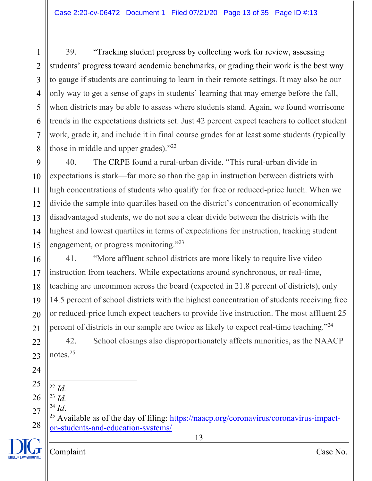1 2 3 4 5 6 7 8 39. "Tracking student progress by collecting work for review, assessing students' progress toward academic benchmarks, or grading their work is the best way to gauge if students are continuing to learn in their remote settings. It may also be our only way to get a sense of gaps in students' learning that may emerge before the fall, when districts may be able to assess where students stand. Again, we found worrisome trends in the expectations districts set. Just 42 percent expect teachers to collect student work, grade it, and include it in final course grades for at least some students (typically those in middle and upper grades)."<sup>22</sup>

9 10 11 12 13 14 15 40. The CRPE found a rural-urban divide. "This rural-urban divide in expectations is stark—far more so than the gap in instruction between districts with high concentrations of students who qualify for free or reduced-price lunch. When we divide the sample into quartiles based on the district's concentration of economically disadvantaged students, we do not see a clear divide between the districts with the highest and lowest quartiles in terms of expectations for instruction, tracking student engagement, or progress monitoring."<sup>23</sup>

16 17 18 19 20 21 41. "More affluent school districts are more likely to require live video instruction from teachers. While expectations around synchronous, or real-time, teaching are uncommon across the board (expected in 21.8 percent of districts), only 14.5 percent of school districts with the highest concentration of students receiving free or reduced-price lunch expect teachers to provide live instruction. The most affluent 25 percent of districts in our sample are twice as likely to expect real-time teaching."24

22 23 42. School closings also disproportionately affects minorities, as the NAACP notes.25

- 24 25 <sup>22</sup> *Id.*
- 26 <sup>23</sup> *Id.*
- 27 <sup>24</sup> *Id*.

28 <sup>25</sup> Available as of the day of filing:  $\frac{https://naacp.org/coronavirus/coronavirus-impact-}$ on-students-and-education-systems/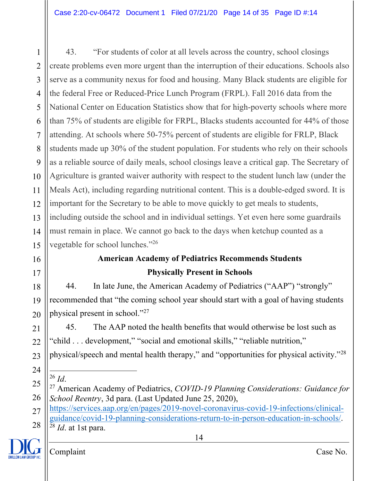1 2 3 4 5 6 7 8 9 10 11 12 13 14 15 43. "For students of color at all levels across the country, school closings create problems even more urgent than the interruption of their educations. Schools also serve as a community nexus for food and housing. Many Black students are eligible for the federal Free or Reduced-Price Lunch Program (FRPL). Fall 2016 data from the National Center on Education Statistics show that for high-poverty schools where more than 75% of students are eligible for FRPL, Blacks students accounted for 44% of those attending. At schools where 50-75% percent of students are eligible for FRLP, Black students made up 30% of the student population. For students who rely on their schools as a reliable source of daily meals, school closings leave a critical gap. The Secretary of Agriculture is granted waiver authority with respect to the student lunch law (under the Meals Act), including regarding nutritional content. This is a double-edged sword. It is important for the Secretary to be able to move quickly to get meals to students, including outside the school and in individual settings. Yet even here some guardrails must remain in place. We cannot go back to the days when ketchup counted as a vegetable for school lunches."26

# **American Academy of Pediatrics Recommends Students Physically Present in Schools**

18 19 20 44. In late June, the American Academy of Pediatrics ("AAP") "strongly" recommended that "the coming school year should start with a goal of having students physical present in school."27

45. The AAP noted the health benefits that would otherwise be lost such as "child . . . development," "social and emotional skills," "reliable nutrition," physical/speech and mental health therapy," and "opportunities for physical activity."28

24 <sup>26</sup> *Id*.

16

17

21

22

23

- 25 26 <sup>27</sup> American Academy of Pediatrics, *COVID-19 Planning Considerations: Guidance for School Reentry*, 3d para. (Last Updated June 25, 2020),
- 27 28 https://services.aap.org/en/pages/2019-novel-coronavirus-covid-19-infections/clinicalguidance/covid-19-planning-considerations-return-to-in-person-education-in-schools/. <sup>28</sup> *Id*. at 1st para.

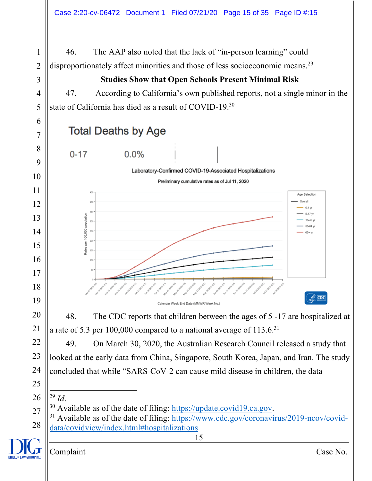

## **Studies Show that Open Schools Present Minimal Risk**

47. According to California's own published reports, not a single minor in the state of California has died as a result of COVID-19.30

**Total Deaths by Age** 



Laboratory-Confirmed COVID-19-Associated Hospitalizations



48. The CDC reports that children between the ages of 5 -17 are hospitalized at a rate of 5.3 per 100,000 compared to a national average of 113.6.31

49. On March 30, 2020, the Australian Research Council released a study that looked at the early data from China, Singapore, South Korea, Japan, and Iran. The study concluded that while "SARS-CoV-2 can cause mild disease in children, the data

 *Id*.



 <sup>30</sup> Available as of the date of filing:  $\frac{https://update.covid19.ca.gov}{https://www.cdc.gov/coronavirus/2019-ncov/covid-}$ data/covidview/index.html#hospitalizations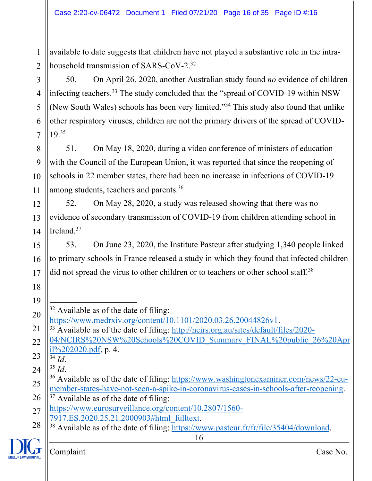1 2 available to date suggests that children have not played a substantive role in the intrahousehold transmission of SARS-CoV-2.32

50. On April 26, 2020, another Australian study found *no* evidence of children infecting teachers.33 The study concluded that the "spread of COVID-19 within NSW (New South Wales) schools has been very limited."34 This study also found that unlike other respiratory viruses, children are not the primary drivers of the spread of COVID-19.35

8 9 10 11 51. On May 18, 2020, during a video conference of ministers of education with the Council of the European Union, it was reported that since the reopening of schools in 22 member states, there had been no increase in infections of COVID-19 among students, teachers and parents.36

12 13 14 52. On May 28, 2020, a study was released showing that there was no evidence of secondary transmission of COVID-19 from children attending school in Ireland.<sup>37</sup>

15 16 17 53. On June 23, 2020, the Institute Pasteur after studying 1,340 people linked to primary schools in France released a study in which they found that infected children did not spread the virus to other children or to teachers or other school staff.<sup>38</sup>

21 22 https://www.medrxiv.org/content/10.1101/2020.03.26.20044826v1.<br><sup>33</sup> Available as of the date of filing: http://ncirs.org.au/sites/default/files/2020-04/NCIRS%20NSW%20Schools%20COVID\_Summary\_FINAL%20public\_26%20Apr il%202020.pdf, p. 4.

23  $\overline{34}$  *Id.* 

18

19

3

4

5

6

7

24 <sup>35</sup> *Id*.

- 
- 28 <sup>38</sup> Available as of the date of filing: https://www.pasteur.fr/fr/file/35404/download.

<sup>20</sup>  $32$  Available as of the date of filing:

<sup>25</sup> 26 <sup>36</sup> Available as of the date of filing: https://www.washingtonexaminer.com/news/22-eumember-states-have-not-seen-a-spike-in-coronavirus-cases-in-schools-after-reopening.<br><sup>37</sup> Available as of the date of filing:

<sup>27</sup> https://www.eurosurveillance.org/content/10.2807/1560-<br>7917.ES.2020.25.21.2000903#html fulltext.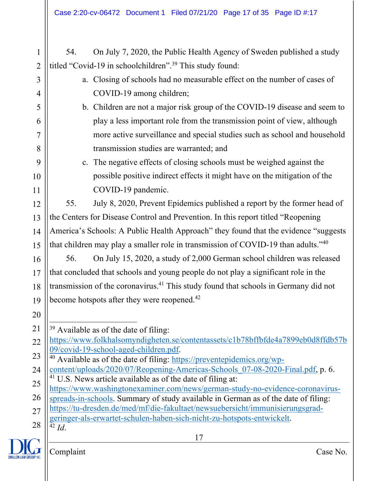| $\mathbf{1}$   | On July 7, 2020, the Public Health Agency of Sweden published a study<br>54.                                                                                         |  |  |  |  |
|----------------|----------------------------------------------------------------------------------------------------------------------------------------------------------------------|--|--|--|--|
| $\overline{2}$ | titled "Covid-19 in schoolchildren". <sup>39</sup> This study found:                                                                                                 |  |  |  |  |
| 3              | a. Closing of schools had no measurable effect on the number of cases of                                                                                             |  |  |  |  |
| $\overline{4}$ | COVID-19 among children;                                                                                                                                             |  |  |  |  |
| 5              | b. Children are not a major risk group of the COVID-19 disease and seem to                                                                                           |  |  |  |  |
| 6              | play a less important role from the transmission point of view, although                                                                                             |  |  |  |  |
| 7              | more active surveillance and special studies such as school and household                                                                                            |  |  |  |  |
| 8              | transmission studies are warranted; and                                                                                                                              |  |  |  |  |
| 9              | The negative effects of closing schools must be weighed against the<br>c.                                                                                            |  |  |  |  |
| 10             | possible positive indirect effects it might have on the mitigation of the                                                                                            |  |  |  |  |
| 11             | COVID-19 pandemic.                                                                                                                                                   |  |  |  |  |
| 12             | July 8, 2020, Prevent Epidemics published a report by the former head of<br>55.                                                                                      |  |  |  |  |
| 13             | the Centers for Disease Control and Prevention. In this report titled "Reopening                                                                                     |  |  |  |  |
| 14             | America's Schools: A Public Health Approach" they found that the evidence "suggests                                                                                  |  |  |  |  |
| 15             | that children may play a smaller role in transmission of COVID-19 than adults."40                                                                                    |  |  |  |  |
| 16             | On July 15, 2020, a study of 2,000 German school children was released<br>56.                                                                                        |  |  |  |  |
| 17             | that concluded that schools and young people do not play a significant role in the                                                                                   |  |  |  |  |
| 18             | transmission of the coronavirus. <sup>41</sup> This study found that schools in Germany did not                                                                      |  |  |  |  |
| 19             | become hotspots after they were reopened. <sup>42</sup>                                                                                                              |  |  |  |  |
| 20             |                                                                                                                                                                      |  |  |  |  |
| 21             | <sup>39</sup> Available as of the date of filing:                                                                                                                    |  |  |  |  |
| 22             | https://www.folkhalsomyndigheten.se/contentassets/c1b78bffbfde4a7899eb0d8ffdb57b                                                                                     |  |  |  |  |
| 23             | 09/covid-19-school-aged-children.pdf.                                                                                                                                |  |  |  |  |
| 24             | <sup>40</sup> Available as of the date of filing: https://preventepidemics.org/wp-<br>content/uploads/2020/07/Reopening-Americas-Schools 07-08-2020-Final.pdf, p. 6. |  |  |  |  |
| 25             | <sup>41</sup> U.S. News article available as of the date of filing at:                                                                                               |  |  |  |  |
|                | https://www.washingtonexaminer.com/news/german-study-no-evidence-coronavirus-                                                                                        |  |  |  |  |
| 26             | spreads-in-schools. Summary of study available in German as of the date of filing:                                                                                   |  |  |  |  |
| 27             | https://tu-dresden.de/med/mf/die-fakultaet/newsuebersicht/immunisierungsgrad-<br>geringer-als-erwartet-schulen-haben-sich-nicht-zu-hotspots-entwickelt.              |  |  |  |  |
| 28             | $42$ Id.                                                                                                                                                             |  |  |  |  |
|                | 17                                                                                                                                                                   |  |  |  |  |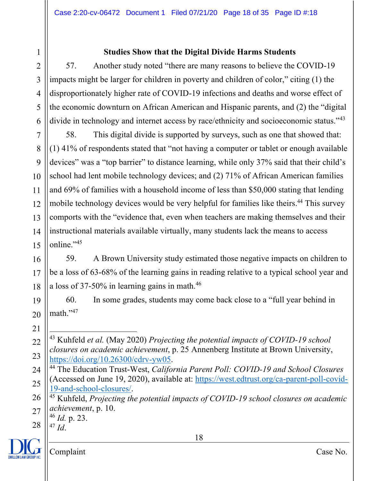### **Studies Show that the Digital Divide Harms Students**

57. Another study noted "there are many reasons to believe the COVID-19 impacts might be larger for children in poverty and children of color," citing (1) the disproportionately higher rate of COVID-19 infections and deaths and worse effect of the economic downturn on African American and Hispanic parents, and (2) the "digital divide in technology and internet access by race/ethnicity and socioeconomic status."<sup>43</sup>

7 8 9 10 11 12 13 14 15 58. This digital divide is supported by surveys, such as one that showed that: (1) 41% of respondents stated that "not having a computer or tablet or enough available devices" was a "top barrier" to distance learning, while only 37% said that their child's school had lent mobile technology devices; and (2) 71% of African American families and 69% of families with a household income of less than \$50,000 stating that lending mobile technology devices would be very helpful for families like theirs.<sup>44</sup> This survey comports with the "evidence that, even when teachers are making themselves and their instructional materials available virtually, many students lack the means to access online."<sup>45</sup>

16 17 18 59. A Brown University study estimated those negative impacts on children to be a loss of 63-68% of the learning gains in reading relative to a typical school year and a loss of 37-50% in learning gains in math.46

19 20 60. In some grades, students may come back close to a "full year behind in math."47

21 22

1

2

3

4

5

6

<sup>46</sup> *Id.* p. 23.

28 <sup>47</sup> *Id*.



<sup>23</sup> <sup>43</sup> Kuhfeld *et al.* (May 2020) *Projecting the potential impacts of COVID-19 school closures on academic achievement*, p. 25 Annenberg Institute at Brown University, https://doi.org/10.26300/cdrv-yw05.

<sup>24</sup> 25 <sup>44</sup> The Education Trust-West, *California Parent Poll: COVID-19 and School Closures* (Accessed on June 19, 2020), available at: https://west.edtrust.org/ca-parent-poll-covid-19-and-school-closures/.

<sup>26</sup> 27 <sup>45</sup> Kuhfeld, *Projecting the potential impacts of COVID-19 school closures on academic achievement*, p. 10.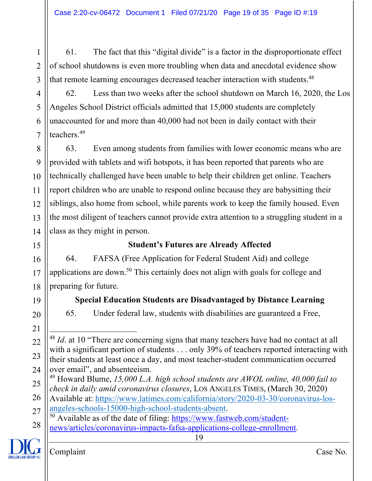61. The fact that this "digital divide" is a factor in the disproportionate effect of school shutdowns is even more troubling when data and anecdotal evidence show that remote learning encourages decreased teacher interaction with students.<sup>48</sup>

62. Less than two weeks after the school shutdown on March 16, 2020, the Los Angeles School District officials admitted that 15,000 students are completely unaccounted for and more than 40,000 had not been in daily contact with their teachers.49

8 9 10 11 12 13 14 63. Even among students from families with lower economic means who are provided with tablets and wifi hotspots, it has been reported that parents who are technically challenged have been unable to help their children get online. Teachers report children who are unable to respond online because they are babysitting their siblings, also home from school, while parents work to keep the family housed. Even the most diligent of teachers cannot provide extra attention to a struggling student in a class as they might in person.

15

16

17

18

20

21

22

23

1

2

3

4

5

6

7

# **Student's Futures are Already Affected**

64. FAFSA (Free Application for Federal Student Aid) and college applications are down.50 This certainly does not align with goals for college and preparing for future.

19

### **Special Education Students are Disadvantaged by Distance Learning**

65. Under federal law, students with disabilities are guaranteed a Free,

<sup>28</sup> <sup>50</sup> Available as of the date of filing: https://www.fastweb.com/studentnews/articles/coronavirus-impacts-fafsa-applications-college-enrollment.



<sup>24</sup> <sup>48</sup> *Id*. at 10 "There are concerning signs that many teachers have had no contact at all with a significant portion of students . . . only 39% of teachers reported interacting with their students at least once a day, and most teacher-student communication occurred over email", and absenteeism.

<sup>25</sup> <sup>49</sup> Howard Blume, *15,000 L.A. high school students are AWOL online, 40,000 fail to check in daily amid coronavirus closures*, LOS ANGELES TIMES, (March 30, 2020)

<sup>26</sup> 27 Available at: https://www.latimes.com/california/story/2020-03-30/coronavirus-losangeles-schools-15000-high-school-students-absent.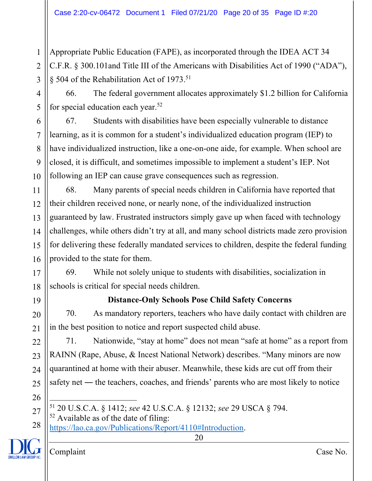Appropriate Public Education (FAPE), as incorporated through the IDEA ACT 34 C.F.R. § 300.101and Title III of the Americans with Disabilities Act of 1990 ("ADA"), § 504 of the Rehabilitation Act of 1973.51

66. The federal government allocates approximately \$1.2 billion for California for special education each year.<sup>52</sup>

67. Students with disabilities have been especially vulnerable to distance learning, as it is common for a student's individualized education program (IEP) to have individualized instruction, like a one-on-one aide, for example. When school are closed, it is difficult, and sometimes impossible to implement a student's IEP. Not following an IEP can cause grave consequences such as regression.

12 14 68. Many parents of special needs children in California have reported that their children received none, or nearly none, of the individualized instruction guaranteed by law. Frustrated instructors simply gave up when faced with technology challenges, while others didn't try at all, and many school districts made zero provision for delivering these federally mandated services to children, despite the federal funding provided to the state for them.

69. While not solely unique to students with disabilities, socialization in schools is critical for special needs children.

19

1

2

3

4

5

6

7

8

9

10

11

13

15

16

17

18

20

21

22

23

24

25

26

# **Distance-Only Schools Pose Child Safety Concerns**

70. As mandatory reporters, teachers who have daily contact with children are in the best position to notice and report suspected child abuse.

71. Nationwide, "stay at home" does not mean "safe at home" as a report from RAINN (Rape, Abuse, & Incest National Network) describes. "Many minors are now quarantined at home with their abuser. Meanwhile, these kids are cut off from their safety net ― the teachers, coaches, and friends' parents who are most likely to notice

27 <sup>51</sup> 20 U.S.C.A. § 1412; *see* 42 U.S.C.A. § 12132; *see* 29 USCA § 794.

 $52$  Available as of the date of filing:

28 https://lao.ca.gov/Publications/Report/4110#Introduction.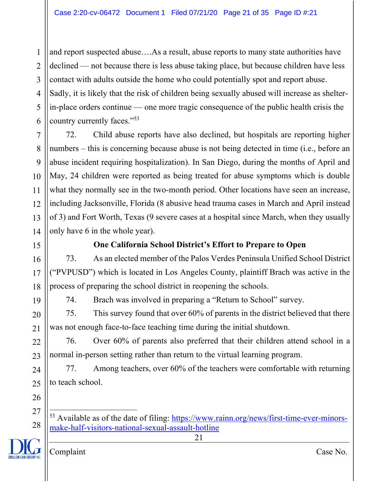1 2 3 4 5 6 and report suspected abuse….As a result, abuse reports to many state authorities have declined — not because there is less abuse taking place, but because children have less contact with adults outside the home who could potentially spot and report abuse. Sadly, it is likely that the risk of children being sexually abused will increase as shelterin-place orders continue — one more tragic consequence of the public health crisis the country currently faces."53

7 8 9 10 11 12 13 14 72. Child abuse reports have also declined, but hospitals are reporting higher numbers – this is concerning because abuse is not being detected in time (i.e., before an abuse incident requiring hospitalization). In San Diego, during the months of April and May, 24 children were reported as being treated for abuse symptoms which is double what they normally see in the two-month period. Other locations have seen an increase, including Jacksonville, Florida (8 abusive head trauma cases in March and April instead of 3) and Fort Worth, Texas (9 severe cases at a hospital since March, when they usually only have 6 in the whole year).

15

16

17

18

19

20

21

22

23

24

25

28

### **One California School District's Effort to Prepare to Open**

73. As an elected member of the Palos Verdes Peninsula Unified School District ("PVPUSD") which is located in Los Angeles County, plaintiff Brach was active in the process of preparing the school district in reopening the schools.

74. Brach was involved in preparing a "Return to School" survey.

75. This survey found that over 60% of parents in the district believed that there was not enough face-to-face teaching time during the initial shutdown.

76. Over 60% of parents also preferred that their children attend school in a normal in-person setting rather than return to the virtual learning program.

77. Among teachers, over 60% of the teachers were comfortable with returning to teach school.

21

53 Available as of the date of filing: https://www.rainn.org/news/first-time-ever-minors-

make-half-visitors-national-sexual-assault-hotline

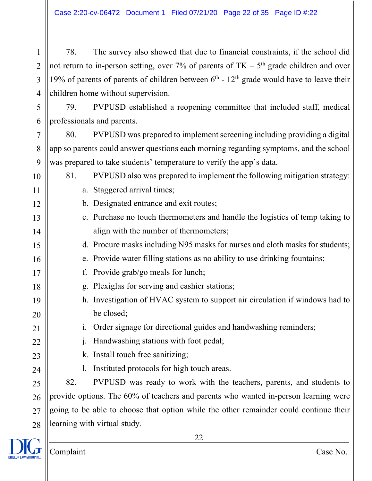Case 2:20-cv-06472 Document 1 Filed 07/21/20 Page 22 of 35 Page ID #:22

78. The survey also showed that due to financial constraints, if the school did not return to in-person setting, over 7% of parents of  $TK - 5<sup>th</sup>$  grade children and over 19% of parents of parents of children between  $6<sup>th</sup>$  -  $12<sup>th</sup>$  grade would have to leave their children home without supervision.

79. PVPUSD established a reopening committee that included staff, medical professionals and parents.

80. PVPUSD was prepared to implement screening including providing a digital app so parents could answer questions each morning regarding symptoms, and the school was prepared to take students' temperature to verify the app's data.

- 81. PVPUSD also was prepared to implement the following mitigation strategy: a. Staggered arrival times;
	- b. Designated entrance and exit routes;
	- c. Purchase no touch thermometers and handle the logistics of temp taking to align with the number of thermometers;
	- d. Procure masks including N95 masks for nurses and cloth masks for students;
	- e. Provide water filling stations as no ability to use drinking fountains;
	- f. Provide grab/go meals for lunch;
	- g. Plexiglas for serving and cashier stations;
- h. Investigation of HVAC system to support air circulation if windows had to be closed;
	- i. Order signage for directional guides and handwashing reminders;
		- j. Handwashing stations with foot pedal;
	- k. Install touch free sanitizing;
		- l. Instituted protocols for high touch areas.

82. PVPUSD was ready to work with the teachers, parents, and students to provide options. The 60% of teachers and parents who wanted in-person learning were going to be able to choose that option while the other remainder could continue their learning with virtual study.



1

2

3

4

5

6

7

8

9

10

11

12

13

14

15

16

17

18

19

20

21

22

23

24

25

26

27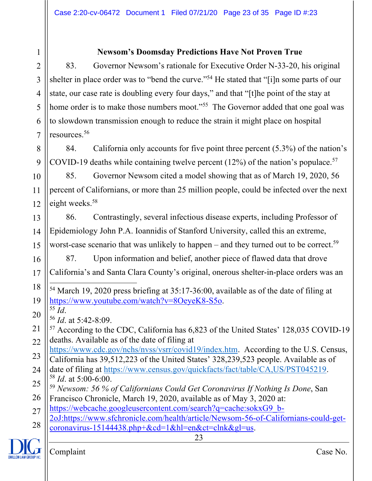#### **Newsom's Doomsday Predictions Have Not Proven True**

2 4 5 83. Governor Newsom's rationale for Executive Order N-33-20, his original shelter in place order was to "bend the curve."<sup>54</sup> He stated that "[i]n some parts of our state, our case rate is doubling every four days," and that "[t]he point of the stay at home order is to make those numbers moot."<sup>55</sup> The Governor added that one goal was to slowdown transmission enough to reduce the strain it might place on hospital resources.56

8 9 84. California only accounts for five point three percent (5.3%) of the nation's COVID-19 deaths while containing twelve percent  $(12%)$  of the nation's populace.<sup>57</sup>

10 11 12 85. Governor Newsom cited a model showing that as of March 19, 2020, 56 percent of Californians, or more than 25 million people, could be infected over the next eight weeks.<sup>58</sup>

13 14 15 86. Contrastingly, several infectious disease experts, including Professor of Epidemiology John P.A. Ioannidis of Stanford University, called this an extreme, worst-case scenario that was unlikely to happen – and they turned out to be correct.<sup>59</sup>

87. Upon information and belief, another piece of flawed data that drove

17 California's and Santa Clara County's original, onerous shelter-in-place orders was an

- 18 19 <sup>54</sup> March 19, 2020 press briefing at 35:17-36:00, available as of the date of filing at https://www.youtube.com/watch?v=8OeyeK8-S5o.<br><sup>55</sup> Id.
- 20

1

3

6

7

16

- <sup>55</sup> *Id*. 56 *Id*. at 5:42-8:09.
- 21 22 <sup>57</sup> According to the CDC, California has 6,823 of the United States' 128,035 COVID-19 deaths. Available as of the date of filing at
- 23 https://www.cdc.gov/nchs/nvss/vsrr/covid19/index.htm. According to the U.S. Census, California has 39,512,223 of the United States' 328,239,523 people. Available as of
- 24 25 date of filing at https://www.census.gov/quickfacts/fact/table/CA,US/PST045219. <sup>58</sup> *Id*. at 5:00-6:00.
- 26 <sup>59</sup> *Newsom: 56 % of Californians Could Get Coronavirus If Nothing Is Done*, San Francisco Chronicle, March 19, 2020, available as of May 3, 2020 at:
- 27 https://webcache.googleusercontent.com/search?q=cache:sokxG9\_b-
- 28 2oJ:https://www.sfchronicle.com/health/article/Newsom-56-of-Californians-could-getcoronavirus-15144438.php+&cd=1&hl=en&ct=clnk&gl=us.

23

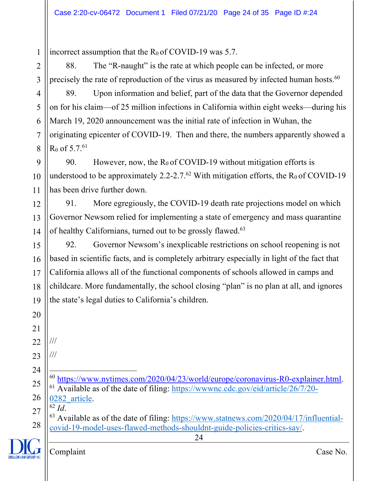incorrect assumption that the  $R_0$  of COVID-19 was 5.7.

2 3 88. The "R-naught" is the rate at which people can be infected, or more precisely the rate of reproduction of the virus as measured by infected human hosts. $^{60}$ 

4 5 6 7 8 89. Upon information and belief, part of the data that the Governor depended on for his claim—of 25 million infections in California within eight weeks—during his March 19, 2020 announcement was the initial rate of infection in Wuhan, the originating epicenter of COVID-19. Then and there, the numbers apparently showed a  $R_0$  of 5.7.<sup>61</sup>

9 10 11 90. However, now, the  $R_0$  of COVID-19 without mitigation efforts is understood to be approximately 2.2-2.7.<sup>62</sup> With mitigation efforts, the  $R_0$  of COVID-19 has been drive further down.

12 13 14 91. More egregiously, the COVID-19 death rate projections model on which Governor Newsom relied for implementing a state of emergency and mass quarantine of healthy Californians, turned out to be grossly flawed.<sup>63</sup>

15 16 17 18 19 92. Governor Newsom's inexplicable restrictions on school reopening is not based in scientific facts, and is completely arbitrary especially in light of the fact that California allows all of the functional components of schools allowed in camps and childcare. More fundamentally, the school closing "plan" is no plan at all, and ignores the state's legal duties to California's children.

21 22

24

25

20

1

///

23 ///

> <sup>60</sup> https://www.nytimes.com/2020/04/23/world/europe/coronavirus-R0-explainer.html.  $61$  Available as of the date of filing: https://wwwnc.cdc.gov/eid/article/26/7/20-

26 0282 article. <sup>62</sup> *Id*.

27 28  $63$  Available as of the date of filing: https://www.statnews.com/2020/04/17/influentialcovid-19-model-uses-flawed-methods-shouldnt-guide-policies-critics-say/.

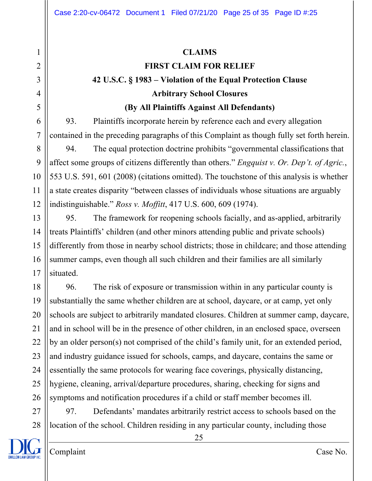### **CLAIMS**

## **FIRST CLAIM FOR RELIEF**

# **42 U.S.C. § 1983 – Violation of the Equal Protection Clause Arbitrary School Closures**

#### **(By All Plaintiffs Against All Defendants)**

93. Plaintiffs incorporate herein by reference each and every allegation contained in the preceding paragraphs of this Complaint as though fully set forth herein.

8 9 10 11 12 94. The equal protection doctrine prohibits "governmental classifications that affect some groups of citizens differently than others." *Engquist v. Or. Dep't. of Agric.*, 553 U.S. 591, 601 (2008) (citations omitted). The touchstone of this analysis is whether a state creates disparity "between classes of individuals whose situations are arguably indistinguishable." *Ross v. Moffitt*, 417 U.S. 600, 609 (1974).

13 14 15 16 17 95. The framework for reopening schools facially, and as-applied, arbitrarily treats Plaintiffs' children (and other minors attending public and private schools) differently from those in nearby school districts; those in childcare; and those attending summer camps, even though all such children and their families are all similarly situated.

18 19 20 21 22 23 24 25 26 96. The risk of exposure or transmission within in any particular county is substantially the same whether children are at school, daycare, or at camp, yet only schools are subject to arbitrarily mandated closures. Children at summer camp, daycare, and in school will be in the presence of other children, in an enclosed space, overseen by an older person(s) not comprised of the child's family unit, for an extended period, and industry guidance issued for schools, camps, and daycare, contains the same or essentially the same protocols for wearing face coverings, physically distancing, hygiene, cleaning, arrival/departure procedures, sharing, checking for signs and symptoms and notification procedures if a child or staff member becomes ill.

27 28 97. Defendants' mandates arbitrarily restrict access to schools based on the location of the school. Children residing in any particular county, including those



1

2

3

4

5

6

7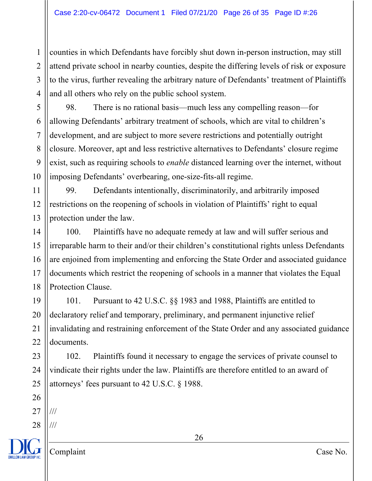1 2 3 4 counties in which Defendants have forcibly shut down in-person instruction, may still attend private school in nearby counties, despite the differing levels of risk or exposure to the virus, further revealing the arbitrary nature of Defendants' treatment of Plaintiffs and all others who rely on the public school system.

98. There is no rational basis—much less any compelling reason—for allowing Defendants' arbitrary treatment of schools, which are vital to children's development, and are subject to more severe restrictions and potentially outright closure. Moreover, apt and less restrictive alternatives to Defendants' closure regime exist, such as requiring schools to *enable* distanced learning over the internet, without imposing Defendants' overbearing, one-size-fits-all regime.

11 12 13 99. Defendants intentionally, discriminatorily, and arbitrarily imposed restrictions on the reopening of schools in violation of Plaintiffs' right to equal protection under the law.

14 15 16 17 18 100. Plaintiffs have no adequate remedy at law and will suffer serious and irreparable harm to their and/or their children's constitutional rights unless Defendants are enjoined from implementing and enforcing the State Order and associated guidance documents which restrict the reopening of schools in a manner that violates the Equal Protection Clause.

19 20 21 22 101. Pursuant to 42 U.S.C. §§ 1983 and 1988, Plaintiffs are entitled to declaratory relief and temporary, preliminary, and permanent injunctive relief invalidating and restraining enforcement of the State Order and any associated guidance documents.

24 25 102. Plaintiffs found it necessary to engage the services of private counsel to vindicate their rights under the law. Plaintiffs are therefore entitled to an award of attorneys' fees pursuant to 42 U.S.C. § 1988.

27 ///

23

26

5

6

7

8

9

10

28 ///

26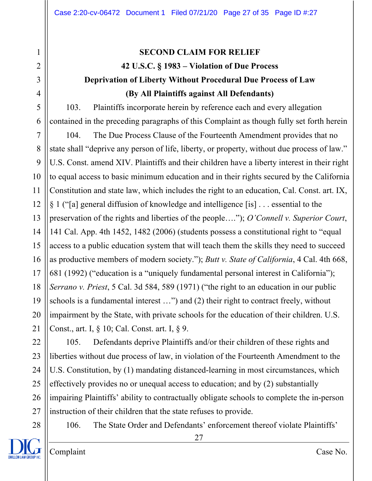# 1 2 3 4 5 6 7 8 9 10 11 12 13 14 15 16 17 18 19 20 21 22 23 24 25

**SECOND CLAIM FOR RELIEF 42 U.S.C. § 1983 – Violation of Due Process Deprivation of Liberty Without Procedural Due Process of Law (By All Plaintiffs against All Defendants)**

103. Plaintiffs incorporate herein by reference each and every allegation contained in the preceding paragraphs of this Complaint as though fully set forth herein

104. The Due Process Clause of the Fourteenth Amendment provides that no state shall "deprive any person of life, liberty, or property, without due process of law." U.S. Const. amend XIV. Plaintiffs and their children have a liberty interest in their right to equal access to basic minimum education and in their rights secured by the California Constitution and state law, which includes the right to an education, Cal. Const. art. IX, § 1 ("[a] general diffusion of knowledge and intelligence [is] . . . essential to the preservation of the rights and liberties of the people…."); *O'Connell v. Superior Court*, 141 Cal. App. 4th 1452, 1482 (2006) (students possess a constitutional right to "equal access to a public education system that will teach them the skills they need to succeed as productive members of modern society."); *Butt v. State of California*, 4 Cal. 4th 668, 681 (1992) ("education is a "uniquely fundamental personal interest in California"); *Serrano v. Priest*, 5 Cal. 3d 584, 589 (1971) ("the right to an education in our public schools is a fundamental interest …") and (2) their right to contract freely, without impairment by the State, with private schools for the education of their children. U.S. Const., art. I, § 10; Cal. Const. art. I, § 9.

26 27 105. Defendants deprive Plaintiffs and/or their children of these rights and liberties without due process of law, in violation of the Fourteenth Amendment to the U.S. Constitution, by (1) mandating distanced-learning in most circumstances, which effectively provides no or unequal access to education; and by (2) substantially impairing Plaintiffs' ability to contractually obligate schools to complete the in-person instruction of their children that the state refuses to provide.



28

Complaint Case No.

106. The State Order and Defendants' enforcement thereof violate Plaintiffs'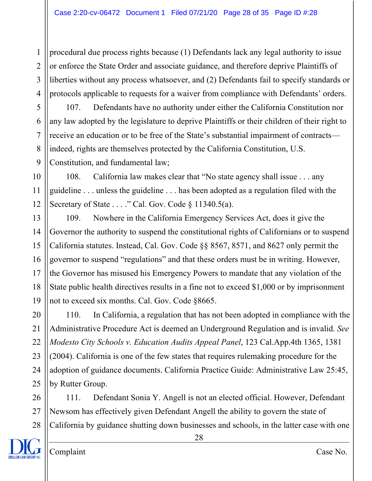1 2 3 4 procedural due process rights because (1) Defendants lack any legal authority to issue or enforce the State Order and associate guidance, and therefore deprive Plaintiffs of liberties without any process whatsoever, and (2) Defendants fail to specify standards or protocols applicable to requests for a waiver from compliance with Defendants' orders.

5 6 7 8 9 107. Defendants have no authority under either the California Constitution nor any law adopted by the legislature to deprive Plaintiffs or their children of their right to receive an education or to be free of the State's substantial impairment of contracts indeed, rights are themselves protected by the California Constitution, U.S. Constitution, and fundamental law;

10 11 12 108. California law makes clear that "No state agency shall issue . . . any guideline . . . unless the guideline . . . has been adopted as a regulation filed with the Secretary of State . . . ." Cal. Gov. Code § 11340.5(a).

13 14 15 16 17 18 19 109. Nowhere in the California Emergency Services Act, does it give the Governor the authority to suspend the constitutional rights of Californians or to suspend California statutes. Instead, Cal. Gov. Code §§ 8567, 8571, and 8627 only permit the governor to suspend "regulations" and that these orders must be in writing. However, the Governor has misused his Emergency Powers to mandate that any violation of the State public health directives results in a fine not to exceed \$1,000 or by imprisonment not to exceed six months. Cal. Gov. Code §8665.

20 21 22 23 24 25 110. In California, a regulation that has not been adopted in compliance with the Administrative Procedure Act is deemed an Underground Regulation and is invalid. *See Modesto City Schools v. Education Audits Appeal Panel*, 123 Cal.App.4th 1365, 1381 (2004). California is one of the few states that requires rulemaking procedure for the adoption of guidance documents. California Practice Guide: Administrative Law 25:45, by Rutter Group.

26 27 28 111. Defendant Sonia Y. Angell is not an elected official. However, Defendant Newsom has effectively given Defendant Angell the ability to govern the state of California by guidance shutting down businesses and schools, in the latter case with one

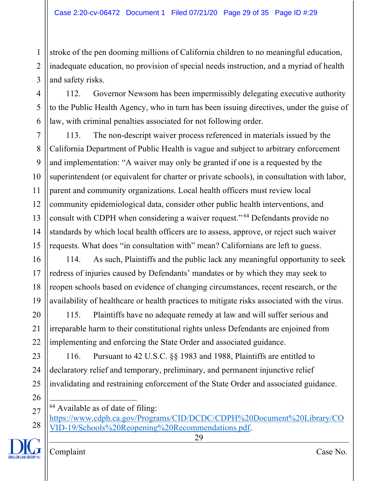1 2 3 stroke of the pen dooming millions of California children to no meaningful education, inadequate education, no provision of special needs instruction, and a myriad of health and safety risks.

4 5 6 112. Governor Newsom has been impermissibly delegating executive authority to the Public Health Agency, who in turn has been issuing directives, under the guise of law, with criminal penalties associated for not following order.

7 8 9 10 11 12 13 14 15 113. The non-descript waiver process referenced in materials issued by the California Department of Public Health is vague and subject to arbitrary enforcement and implementation: "A waiver may only be granted if one is a requested by the superintendent (or equivalent for charter or private schools), in consultation with labor, parent and community organizations. Local health officers must review local community epidemiological data, consider other public health interventions, and consult with CDPH when considering a waiver request." <sup>64</sup> Defendants provide no standards by which local health officers are to assess, approve, or reject such waiver requests. What does "in consultation with" mean? Californians are left to guess.

16 17 18 19 114. As such, Plaintiffs and the public lack any meaningful opportunity to seek redress of injuries caused by Defendants' mandates or by which they may seek to reopen schools based on evidence of changing circumstances, recent research, or the availability of healthcare or health practices to mitigate risks associated with the virus.

115. Plaintiffs have no adequate remedy at law and will suffer serious and irreparable harm to their constitutional rights unless Defendants are enjoined from implementing and enforcing the State Order and associated guidance.

23 24 25 116. Pursuant to 42 U.S.C. §§ 1983 and 1988, Plaintiffs are entitled to declaratory relief and temporary, preliminary, and permanent injunctive relief invalidating and restraining enforcement of the State Order and associated guidance.

 $64$  Available as of date of filing:

29



20

21

22

<sup>27</sup> 28 https://www.cdph.ca.gov/Programs/CID/DCDC/CDPH%20Document%20Library/CO VID-19/Schools%20Reopening%20Recommendations.pdf.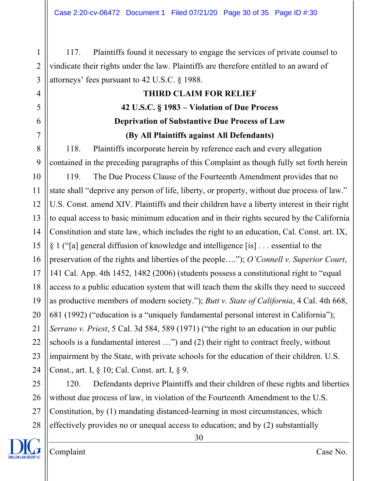Case 2:20-cv-06472 Document 1 Filed 07/21/20 Page 30 of 35 Page ID #:30

2 3 117. Plaintiffs found it necessary to engage the services of private counsel to vindicate their rights under the law. Plaintiffs are therefore entitled to an award of attorneys' fees pursuant to 42 U.S.C. § 1988.

# **THIRD CLAIM FOR RELIEF 42 U.S.C. § 1983 – Violation of Due Process Deprivation of Substantive Due Process of Law (By All Plaintiffs against All Defendants)**

118. Plaintiffs incorporate herein by reference each and every allegation contained in the preceding paragraphs of this Complaint as though fully set forth herein

10 11 12 13 14 15 16 17 18 19 20 21 22 23 24 119. The Due Process Clause of the Fourteenth Amendment provides that no state shall "deprive any person of life, liberty, or property, without due process of law." U.S. Const. amend XIV. Plaintiffs and their children have a liberty interest in their right to equal access to basic minimum education and in their rights secured by the California Constitution and state law, which includes the right to an education, Cal. Const. art. IX, § 1 ("[a] general diffusion of knowledge and intelligence [is] . . . essential to the preservation of the rights and liberties of the people…."); *O'Connell v. Superior Court*, 141 Cal. App. 4th 1452, 1482 (2006) (students possess a constitutional right to "equal access to a public education system that will teach them the skills they need to succeed as productive members of modern society."); *Butt v. State of California*, 4 Cal. 4th 668, 681 (1992) ("education is a "uniquely fundamental personal interest in California"); *Serrano v. Priest*, 5 Cal. 3d 584, 589 (1971) ("the right to an education in our public schools is a fundamental interest …") and (2) their right to contract freely, without impairment by the State, with private schools for the education of their children. U.S. Const., art. I, § 10; Cal. Const. art. I, § 9.

25 26 27 28 120. Defendants deprive Plaintiffs and their children of these rights and liberties without due process of law, in violation of the Fourteenth Amendment to the U.S. Constitution, by (1) mandating distanced-learning in most circumstances, which effectively provides no or unequal access to education; and by (2) substantially



1

4

5

6

7

8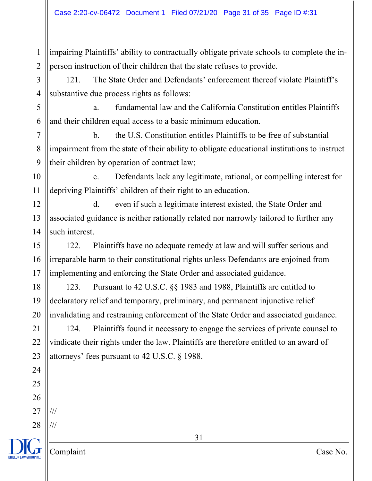1 2 impairing Plaintiffs' ability to contractually obligate private schools to complete the inperson instruction of their children that the state refuses to provide.

121. The State Order and Defendants' enforcement thereof violate Plaintiff's substantive due process rights as follows:

a. fundamental law and the California Constitution entitles Plaintiffs and their children equal access to a basic minimum education.

7 8 9 b. the U.S. Constitution entitles Plaintiffs to be free of substantial impairment from the state of their ability to obligate educational institutions to instruct their children by operation of contract law;

10 11 c. Defendants lack any legitimate, rational, or compelling interest for depriving Plaintiffs' children of their right to an education.

12 d. even if such a legitimate interest existed, the State Order and associated guidance is neither rationally related nor narrowly tailored to further any such interest.

122. Plaintiffs have no adequate remedy at law and will suffer serious and irreparable harm to their constitutional rights unless Defendants are enjoined from implementing and enforcing the State Order and associated guidance.

123. Pursuant to 42 U.S.C. §§ 1983 and 1988, Plaintiffs are entitled to declaratory relief and temporary, preliminary, and permanent injunctive relief invalidating and restraining enforcement of the State Order and associated guidance.

124. Plaintiffs found it necessary to engage the services of private counsel to vindicate their rights under the law. Plaintiffs are therefore entitled to an award of attorneys' fees pursuant to 42 U.S.C. § 1988.

3

4

5

6

Complaint Case No.

///

///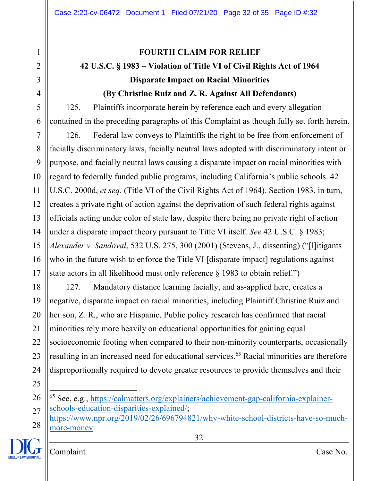# 1 2 3 4 5 6 7 8 9 10 11 12 13 14 15 16 17 18 19 20 21 22 23 24 25 26 27 28

Complaint Case No.

# **FOURTH CLAIM FOR RELIEF 42 U.S.C. § 1983 – Violation of Title VI of Civil Rights Act of 1964 Disparate Impact on Racial Minorities (By Christine Ruiz and Z. R. Against All Defendants)**

125. Plaintiffs incorporate herein by reference each and every allegation contained in the preceding paragraphs of this Complaint as though fully set forth herein.

126. Federal law conveys to Plaintiffs the right to be free from enforcement of facially discriminatory laws, facially neutral laws adopted with discriminatory intent or purpose, and facially neutral laws causing a disparate impact on racial minorities with regard to federally funded public programs, including California's public schools. 42 U.S.C. 2000d, *et seq.* (Title VI of the Civil Rights Act of 1964). Section 1983, in turn, creates a private right of action against the deprivation of such federal rights against officials acting under color of state law, despite there being no private right of action under a disparate impact theory pursuant to Title VI itself. *See* 42 U.S.C. § 1983; *Alexander v. Sandoval*, 532 U.S. 275, 300 (2001) (Stevens, J., dissenting) ("[l]itigants who in the future wish to enforce the Title VI [disparate impact] regulations against state actors in all likelihood must only reference § 1983 to obtain relief.")

127. Mandatory distance learning facially, and as-applied here, creates a negative, disparate impact on racial minorities, including Plaintiff Christine Ruiz and her son, Z. R., who are Hispanic. Public policy research has confirmed that racial minorities rely more heavily on educational opportunities for gaining equal socioeconomic footing when compared to their non-minority counterparts, occasionally resulting in an increased need for educational services. <sup>65</sup> Racial minorities are therefore disproportionally required to devote greater resources to provide themselves and their

<sup>65</sup> See, e.g., https://calmatters.org/explainers/achievement-gap-california-explainerschools-education-disparities-explained/;

https://www.npr.org/2019/02/26/696794821/why-white-school-districts-have-so-muchmore-money.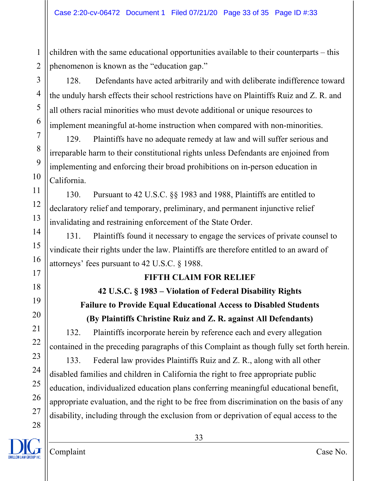children with the same educational opportunities available to their counterparts – this phenomenon is known as the "education gap."

128. Defendants have acted arbitrarily and with deliberate indifference toward the unduly harsh effects their school restrictions have on Plaintiffs Ruiz and Z. R. and all others racial minorities who must devote additional or unique resources to implement meaningful at-home instruction when compared with non-minorities.

129. Plaintiffs have no adequate remedy at law and will suffer serious and irreparable harm to their constitutional rights unless Defendants are enjoined from implementing and enforcing their broad prohibitions on in-person education in California.

130. Pursuant to 42 U.S.C. §§ 1983 and 1988, Plaintiffs are entitled to declaratory relief and temporary, preliminary, and permanent injunctive relief invalidating and restraining enforcement of the State Order.

131. Plaintiffs found it necessary to engage the services of private counsel to vindicate their rights under the law. Plaintiffs are therefore entitled to an award of attorneys' fees pursuant to 42 U.S.C. § 1988.

# **FIFTH CLAIM FOR RELIEF**

# **42 U.S.C. § 1983 – Violation of Federal Disability Rights Failure to Provide Equal Educational Access to Disabled Students (By Plaintiffs Christine Ruiz and Z. R. against All Defendants)**

132. Plaintiffs incorporate herein by reference each and every allegation contained in the preceding paragraphs of this Complaint as though fully set forth herein.

133. Federal law provides Plaintiffs Ruiz and Z. R., along with all other disabled families and children in California the right to free appropriate public education, individualized education plans conferring meaningful educational benefit, appropriate evaluation, and the right to be free from discrimination on the basis of any disability, including through the exclusion from or deprivation of equal access to the

1

2

3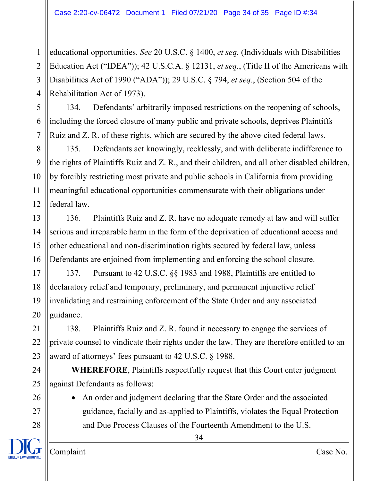1 2 3 4 educational opportunities. *See* 20 U.S.C. § 1400, *et seq.* (Individuals with Disabilities Education Act ("IDEA")); 42 U.S.C.A. § 12131, *et seq.*, (Title II of the Americans with Disabilities Act of 1990 ("ADA")); 29 U.S.C. § 794, *et seq.*, (Section 504 of the Rehabilitation Act of 1973).

134. Defendants' arbitrarily imposed restrictions on the reopening of schools, including the forced closure of many public and private schools, deprives Plaintiffs Ruiz and Z. R. of these rights, which are secured by the above-cited federal laws.

8 9 10 11 12 135. Defendants act knowingly, recklessly, and with deliberate indifference to the rights of Plaintiffs Ruiz and Z. R., and their children, and all other disabled children, by forcibly restricting most private and public schools in California from providing meaningful educational opportunities commensurate with their obligations under federal law.

13 14 15 16 136. Plaintiffs Ruiz and Z. R. have no adequate remedy at law and will suffer serious and irreparable harm in the form of the deprivation of educational access and other educational and non-discrimination rights secured by federal law, unless Defendants are enjoined from implementing and enforcing the school closure.

17 18 19 20 137. Pursuant to 42 U.S.C. §§ 1983 and 1988, Plaintiffs are entitled to declaratory relief and temporary, preliminary, and permanent injunctive relief invalidating and restraining enforcement of the State Order and any associated guidance.

22 23 138. Plaintiffs Ruiz and Z. R. found it necessary to engage the services of private counsel to vindicate their rights under the law. They are therefore entitled to an award of attorneys' fees pursuant to 42 U.S.C. § 1988.

**WHEREFORE**, Plaintiffs respectfully request that this Court enter judgment against Defendants as follows:

• An order and judgment declaring that the State Order and the associated guidance, facially and as-applied to Plaintiffs, violates the Equal Protection and Due Process Clauses of the Fourteenth Amendment to the U.S.

34

21

24

25

26

27

28

5

6